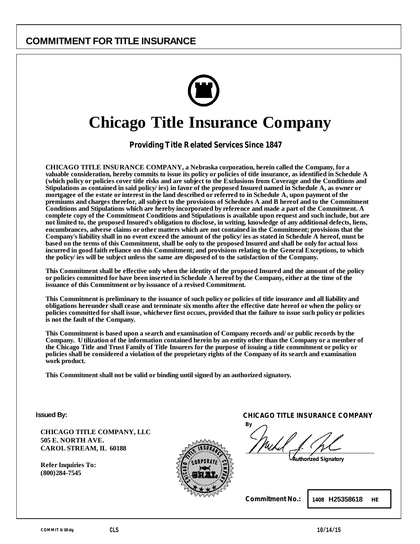

# **Chicago Title Insurance Company**

*Providing Title Related Services Since 1847* 

**CHICAGO TITLE INSURANCE COMPANY, a Nebraska corporation, herein called the Company, for a valuable consideration, hereby commits to issue its policy or policies of title insurance, as identified in Schedule A (which policy or policies cover title risks and are subject to the Exclusions from Coverage and the Conditions and Stipulations as contained in said policy/ies) in favor of the proposed Insured named in Schedule A, as owner or mortgagee of the estate or interest in the land described or referred to in Schedule A, upon payment of the premiums and charges therefor, all subject to the provisions of Schedules A and B hereof and to the Commitment Conditions and Stipulations which are hereby incorporated by reference and made a part of the Commitment. A complete copy of the Commitment Conditions and Stipulations is available upon request and such include, but are not limited to, the proposed Insured's obligation to disclose, in writing, knowledge of any additional defects, liens, encumbrances, adverse claims or other matters which are not contained in the Commitment; provisions that the Company's liability shall in no event exceed the amount of the policy/ies as stated in Schedule A hereof, must be based on the terms of this Commitment, shall be only to the proposed Insured and shall be only for actual loss incurred in good faith reliance on this Commitment; and provisions relating to the General Exceptions, to which the policy/ies will be subject unless the same are disposed of to the satisfaction of the Company.** 

**This Commitment shall be effective only when the identity of the proposed Insured and the amount of the policy or policies committed for have been inserted in Schedule A hereof by the Company, either at the time of the issuance of this Commitment or by issuance of a revised Commitment.** 

**This Commitment is preliminary to the issuance of such policy or policies of title insurance and all liability and obligations hereunder shall cease and terminate six months after the effective date hereof or when the policy or policies committed for shall issue, whichever first occurs, provided that the failure to issue such policy or policies is not the fault of the Company.** 

**This Commitment is based upon a search and examination of Company records and/or public records by the Company. Utilization of the information contained herein by an entity other than the Company or a member of the Chicago Title and Trust Family of Title Insurers for the purpose of issuing a title commitment or policy or policies shall be considered a violation of the proprietary rights of the Company of its search and examination work product.** 

**This Commitment shall not be valid or binding until signed by an authorized signatory.**

**Issued By:**

**CHICAGO TITLE COMPANY, LLC 505 E. NORTH AVE. CAROL STREAM, IL 60188** 

**Refer Inquiries To: (800)284-7545** 



**CHICAGO TITLE INSURANCE COMPANY** 

**By**

*Authorized Signatory*

**Commitment No.:**

**1408 H25358618 HE**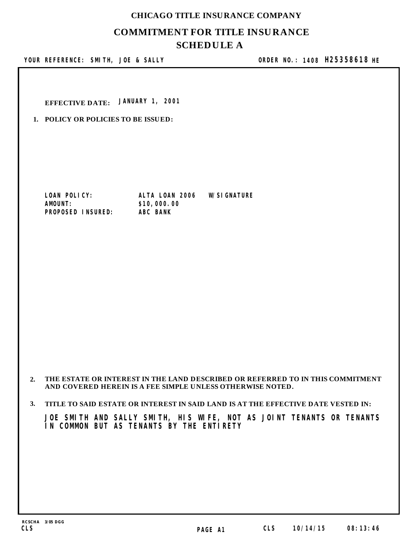## **COMMITMENT FOR TITLE INSURANCE SCHEDULE A CHICAGO TITLE INSURANCE COMPANY**

YOUR REFERENCE: SMITH, JOE & SALLY

**ORDER NO.: SMITH, JOE & SALLY 1408 H25358618 HE**

**EFFECTIVE DATE: JANUARY 1, 2001**

**1. POLICY OR POLICIES TO BE ISSUED:**

**LOAN POLICY: ALTA LOAN 2006 W/SIGNATURE PROPOSED INSURED: ABC BANK** 

 $$10,000.00$ <br>ABC BANK

## **2. THE ESTATE OR INTEREST IN THE LAND DESCRIBED OR REFERRED TO IN THIS COMMITMENT AND COVERED HEREIN IS A FEE SIMPLE UNLESS OTHERWISE NOTED.**

## **3. TITLE TO SAID ESTATE OR INTEREST IN SAID LAND IS AT THE EFFECTIVE DATE VESTED IN:**

**JOE SMITH AND SALLY SMITH, HIS WIFE, NOT AS JOINT TENANTS OR TENANTS IN COMMON BUT AS TENANTS BY THE ENTIRETY**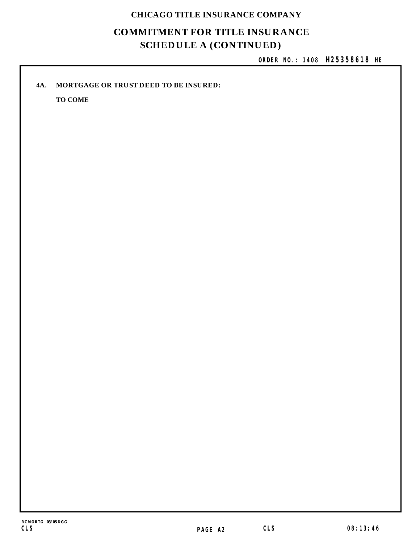## **CHICAGO TITLE INSURANCE COMPANY**

## **COMMITMENT FOR TITLE INSURANCE SCHEDULE A (CONTINUED)**

**ORDER NO.: 1408 H25358618 HE**

## **4A. MORTGAGE OR TRUST DEED TO BE INSURED:**

**TO COME**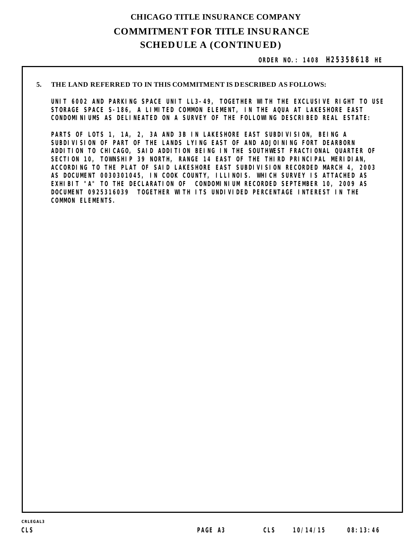## **COMMITMENT FOR TITLE INSURANCE SCHEDULE A (CONTINUED) CHICAGO TITLE INSURANCE COMPANY**

**ORDER NO.: 1408 H25358618 HE**

#### **THE LAND REFERRED TO IN THIS COMMITMENT IS DESCRIBED AS FOLLOWS: 5.**

**UNIT 6002 AND PARKING SPACE UNIT LL3-49, TOGETHER WITH THE EXCLUSIVE RIGHT TO USE STORAGE SPACE S-186, A LIMITED COMMON ELEMENT, IN THE AQUA AT LAKESHORE EAST CONDOMINIUMS AS DELINEATED ON A SURVEY OF THE FOLLOWING DESCRIBED REAL ESTATE:**

**PARTS OF LOTS 1, 1A, 2, 3A AND 3B IN LAKESHORE EAST SUBDIVISION, BEING A SUBDIVISION OF PART OF THE LANDS LYING EAST OF AND ADJOINING FORT DEARBORN ADDITION TO CHICAGO, SAID ADDITION BEING IN THE SOUTHWEST FRACTIONAL QUARTER OF SECTION 10, TOWNSHIP 39 NORTH, RANGE 14 EAST OF THE THIRD PRINCIPAL MERIDIAN, ACCORDING TO THE PLAT OF SAID LAKESHORE EAST SUBDIVISION RECORDED MARCH 4, 2003 AS DOCUMENT 0030301045, IN COOK COUNTY, ILLINOIS. WHICH SURVEY IS ATTACHED AS EXHIBIT "A" TO THE DECLARATION OF CONDOMINIUM RECORDED SEPTEMBER 10, 2009 AS DOCUMENT 0925316039 TOGETHER WITH ITS UNDIVIDED PERCENTAGE INTEREST IN THE COMMON ELEMENTS.**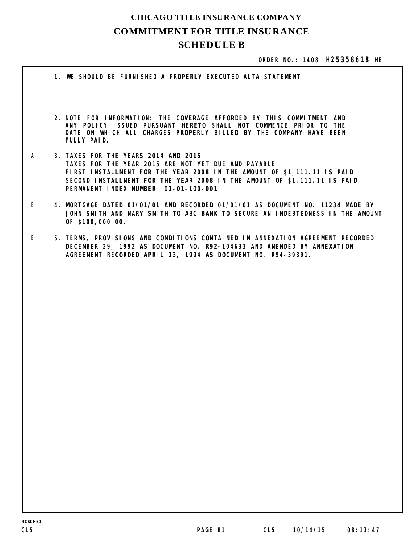## **COMMITMENT FOR TITLE INSURANCE SCHEDULE B CHICAGO TITLE INSURANCE COMPANY**

## **ORDER NO.: 1408 H25358618 HE**

**NOTE FOR INFORMATION: THE COVERAGE AFFORDED BY THIS COMMITMENT AND 2. ANY POLICY ISSUED PURSUANT HERETO SHALL NOT COMMENCE PRIOR TO THE DATE ON WHICH ALL CHARGES PROPERLY BILLED BY THE COMPANY HAVE BEEN FULLY PAID. 1. WE SHOULD BE FURNISHED A PROPERLY EXECUTED ALTA STATEMENT.**  *A* **3. TAXES FOR THE YEARS 2014 AND 2015 TAXES FOR THE YEAR 2015 ARE NOT YET DUE AND PAYABLE FIRST INSTALLMENT FOR THE YEAR 2008 IN THE AMOUNT OF \$1,111.11 IS PAID SECOND INSTALLMENT FOR THE YEAR 2008 IN THE AMOUNT OF \$1,111.11 IS PAID PERMANENT INDEX NUMBER 01-01-100-001**  *B* **4. MORTGAGE DATED 01/01/01 AND RECORDED 01/01/01 AS DOCUMENT NO. 11234 MADE BY JOHN SMITH AND MARY SMITH TO ABC BANK TO SECURE AN INDEBTEDNESS IN THE AMOUNT OF \$100,000.00.**  *E* **5. TERMS, PROVISIONS AND CONDITIONS CONTAINED IN ANNEXATION AGREEMENT RECORDED DECEMBER 29, 1992 AS DOCUMENT NO. R92-104633 AND AMENDED BY ANNEXATION AGREEMENT RECORDED APRIL 13, 1994 AS DOCUMENT NO. R94-39391.**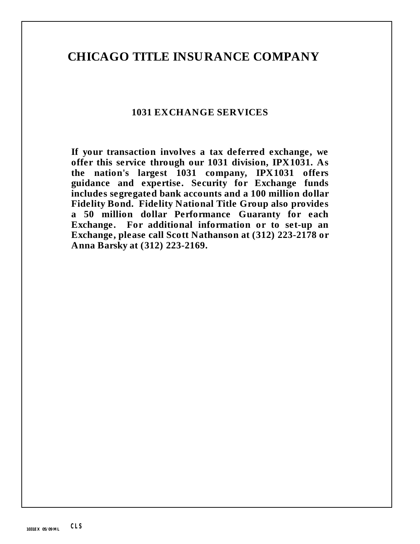## **CHICAGO TITLE INSURANCE COMPANY**

## **1031 EXCHANGE SERVICES**

**If your transaction involves a tax deferred exchange, we offer this service through our 1031 division, IPX1031. As the nation's largest 1031 company, IPX1031 offers guidance and expertise. Security for Exchange funds includes segregated bank accounts and a 100 million dollar Fidelity Bond. Fidelity National Title Group also provides a 50 million dollar Performance Guaranty for each Exchange. For additional information or to set-up an Exchange, please call Scott Nathanson at (312) 223-2178 or Anna Barsky at (312) 223-2169.**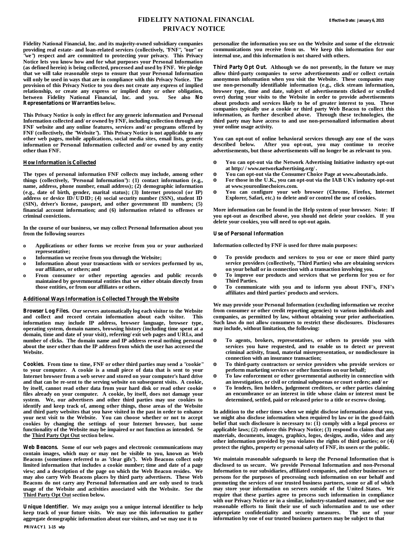## **FIDELITY NATIONAL FINANCIAL PRIVACY NOTICE**

**Fidelity National Financial, Inc. and its majority-owned subsidiary companies providing real estate- and loan-related services (collectively, "FNF", "our" or "we") respect and are committed to protecting your privacy. This Privacy Notice lets you know how and for what purposes your Personal Information (as defined herein) is being collected, processed and used by FNF. We pledge that we will take reasonable steps to ensure that your Personal Information will only be used in ways that are in compliance with this Privacy Notice. The provision of this Privacy Notice to you does not create any express of implied relationship, or create any express or implied duty or other obligation, between Fidelity National Financial, Inc. and you. See also No Representations or Warranties below.**

**This Privacy Notice is only in effect for any generic information and Personal Information collected and/or owned by FNF, including collection through any FNF website and any online features, services and/or programs offered by FNF (collectively, the "Website"). This Privacy Notice is not applicable to any other web pages, mobile applications, social media sites, email lists, generic information or Personal Information collected and/or owned by any entity other than FNF.**

#### **How Information is Collected**

**The types of personal information FNF collects may include, among other things (collectively, "Personal Information"): (1) contact information (e.g., name, address, phone number, email address); (2) demographic information (e.g., date of birth, gender, marital status); (3) Internet protocol (or IP) address or device ID/UDID; (4) social security number (SSN), student ID (SIN), driver's license, passport, and other government ID numbers; (5) financial account information; and (6) information related to offenses or criminal convictions.**

**In the course of our business, we may collect Personal Information about you from the following sources**

- **o Applications or other forms we receive from you or your authorized representative;**
- **o Information we receive from you through the Website;**
- **o Information about your transactions with or services performed by us, our affiliates, or others; and**
- **o From consumer or other reporting agencies and public records maintained by governmental entities that we either obtain directly from those entities, or from our affiliates or others.**

#### **Additional Ways Information is Collected Through the Website**

**Browser Log Files. Our servers automatically log each visitor to the Website and collect and record certain information about each visitor. This information may include IP address, browser language, browser type, operating system, domain names, browsing history (including time spent at a domain, time and date of your visit), referring/exit web pages and URLs, and number of clicks. The domain name and IP address reveal nothing personal about the user other than the IP address from which the user has accessed the Website.**

**Cookies. From time to time, FNF or other third parties may send a "cookie" to your computer. A cookie is a small piece of data that is sent to your Internet browser from a web server and stored on your computer's hard drive and that can be re-sent to the serving website on subsequent visits. A cookie, by itself, cannot read other data from your hard disk or read other cookie files already on your computer. A cookie, by itself, does not damage your system. We, our advertisers and other third parties may use cookies to identify and keep track of, among other things, those areas of the Website and third party websites that you have visited in the past in order to enhance your next visit to the Website. You can choose whether or not to accept cookies by changing the settings of your Internet browser, but some functionality of the Website may be impaired or not function as intended. Se the Third Party Opt Out section below.**

**Web Beacons. Some of our web pages and electronic communications may contain images, which may or may not be visible to you, known as Web Beacons (sometimes referred to as "clear gifs"). Web Beacons collect only limited information that includes a cookie number; time and date of a page**  view; and a description of the page on which the Web Beacon resides. **may also carry Web Beacons places by third party advertisers. These Web Beacons do not carry any Personal Information and are only used to track usage of the Website and activities associated with the Website. See the Third Party Opt Out section below.**

**Unique Identifier. We may assign you a unique internal identifier to help keep track of your future visits. We may use this information to gather aggregate demographic information about our visitors, and we may use it to**

**personalize the information you see on the Website and some of the elctronic communications you receive from us. We keep this information for our internal use, and this information is not shared with others.**

**Third Party Opt Out. Although we do not presently, in the future we may allow third-party companies to serve advertisements and/or collect certain anonymous information when you visit the Website. These companies may use non-personally identifiable information (e.g., click stream information, browser type, time and date, subject of advertisements clicked or scrolled over) during your visits to the Website in order to provide advertisements about products and services likely to be of greater interest to you. These companies typically use a cookie or third party Web Beacon to collect this information, as further described above. Through these technologies, the third party may have access to and use non-personalized information about your online usage activity.**

**You can opt-out of online behavioral services through any one of the ways described below. After you opt-out, you may continue to receive advertisements, but those advertisements will no longer be as relevant to you.**

- **o You can opt-out via the Network Advertising Initiative industry opt-out at http://www.networkadvertising.org/.**
- **o You can opt-out via the Consumer Choice Page at www.aboutads.info.**
- **o For those in the U.K., you can opt-out via the IAB UK's industry opt-out at www.youronlinechoices.com.**
- **o You can configure your web browser (Chrome, Firefox, Internet Explorer, Safari, etc.) to delete and/or control the use of cookies.**

**More information can be found in the Help system of your browser. Note: If you opt-out as described above, you should not delete your cookies. If you delete your cookies, you will need to opt-out again.**

#### **Use of Personal Information**

**Information collected by FNF is used for three main purposes:**

- **o To provide products and services to you or one or more third party service providers (collectively, "Third Parties) who are obtaining services on your behalf or in connection with a transaction involving you.**
- **o To improve our products and services that we perform for you or for Third Parties.**
- **o To communicate with you and to inform you about FNF's, FNF's affiliates and third parties' products and services.**

**We may provide your Personal Information (excluding information we receive from consumer or other credit reporting agencies) to various individuals and companies, as permitted by law, without obtaining your prior authorization. Such laws do not allow consumers to restrict these disclosures. Disclosures may include, without limitation, the following:**

- **o To agents, brokers, representatives, or others to provide you with services you have requested, and to enable us to detect or prevent criminal activity, fraud, material misrepresentation, or nondisclosure in connection with an insurance transaction;**
- **o To third-party contractors or service providers who provide services or perform marketing services or other functions on our behalf;**
- **o To law enforcement or other governmental authority in connection with an investigation, or civil or criminal subpoenas or court orders; and/or**
- **o To lenders, lien holders, judgement creditors, or other parties claiming an encumbrance or an interest in title whose claim or interest must be determined, settled, paid or released prior to a title or escrow closing.**

**In addition to the other times when we might disclose information about you, we might also disclose information when required by law or in the good-faith belief that such disclosure is necessary to: (1) comply with a legal process or applicable laws; (2) enforce this Privacy Notice; (3) respond to claims that any materials, documents, images, graphics, logos, designs, audio, video and any other information provided by you violates the rights of third parties; or (4) protect the rights, property or personal safety of FNF, its users or the public.**

**We maintain reasonable safeguards to keep the Personal Information that is disclosed to us secure. We provide Personal Information and non-Personal Information to our subsidiaries, affiliated companies, and other businesses or persons for the purposes of processing such information on our behalf and promoting the services of our trusted business partners, some or all of which may store your information on servers outside of the United States. We require that these parties agree to process such information in compliance**  with our Privacy Notice or in a similar, industry-standard manner, and we use **reasonable efforts to limit their use of such information and to use other**  appropriate confidentiality and security measures. **information by one of our trusted business partners may be subject to that**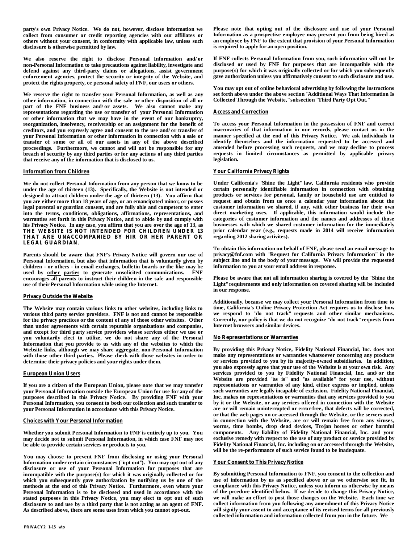**party's own Privacy Notice. We do not, however, disclose information we collect from consumer or credit reporting agencies with our affiliates or others without your consent, in conformity with applicable law, unless such disclosure is otherwise permitted by law.**

**We also reserve the right to disclose Personal Information and/or non-Personal Information to take precautions against liability, investigate and defend against any third-party claims or allegations, assist government enforcement agencies, protect the security or integrity of the Website, and protect the rights property, or personal safety of FNF, our users or others.**

**We reserve the right to transfer your Personal Information, as well as any other information, in connection with the sale or other disposition of all or part of the FNF business and/or assets. We also cannot make any representations regarding the use or transfer of your Personal Information or other information that we may have in the event of our bankruptcy, reorganization, insolvency, receivership or an assignment for the benefit of creditors, and you expressly agree and consent to the use and/or transfer of your Personal Information or other information in connection with a sale or transfer of some or all of our assets in any of the above described proceedings. Furthermore, we cannot and will not be responsible for any breach of security by any third parties or for any actions of any third parties that receive any of the information that is disclosed to us.**

### **Information from Children**

**We do not collect Personal Information from any person that we know to be under the age of thirteen (13). Specifically, the Website is not intended or designed to attract children under the age of thirteen (13). You affirm that you are either more than 18 years of age, or an emancipated minor, or posses legal parental or guardian consent, and are fully able and competent to enter into the terms, conditions, obligations, affirmations, representations, and warranties set forth in this Privacy Notice, and to abide by and comply with his Privacy Notice. In any case, you affirm that you are over the age of 13, as THE WEBSITE IS NOT INTENDED FOR CHILDREN UNDER 13 THAT ARE UNACCOMPANIED BY HIR OR HER PARENT OR LEGAL GUARDIAN.**

**Parents should be aware that FNF's Privacy Notice will govern our use of Personal Information, but also that information that is voluntarily given by children - or others - in email exchanges, bulletin boards or the like may be used by other parties to generate unsolicited communications. FNF encourages all parents to instruct their children in the safe and responsible use of their Personal Information while using the Internet.**

### **Privacy Outside the Website**

**The Website may contain various links to other websites, including links to various third party service providers. FNF is not and cannot be responsible for the privacy practices or the content of any of those other websites. Other than under agreements with certain reputable organizations and companies, and except for third party service providers whose services either we use or you voluntarily elect to utilize, we do not share any of the Personal Information that you provide to us with any of the websites to which the Website links, although we may share aggregate, non-Personal Information with those other third parties. Please check with those websites in order to determine their privacy policies and your rights under them.**

### **European Union Users**

**If you are a citizen of the European Union, please note that we may transfer your Personal Information outside the European Union for use for any of the purposes described in this Privacy Notice. By providing FNF with your Personal Information, you consent to both our collection and such transfer to your Personal Information in accordance with this Privacy Notice.**

### **Choices with Your Personal Information**

**Whether you submit Personal Information to FNF is entirely up to you. You may decide not to submit Personal Information, in which case FNF may not be able to provide certain services or products to you.**

**You may choose to prevent FNF from disclosing or using your Personal Information under certain circumstances ("opt out"). You may opt out of any disclosure or use of your Personal Information for purposes that are incompatible with the purpose(s) for which it was originally collected or for which you subsequently gave authorization by notifying us by one of the methods at the end of this Privacy Notice. Furthermore, even where your Personal Information is to be disclosed and used in accordance with the stated purposes in this Privacy Notice, you may elect to opt out of such disclosure to and use by a third party that is not acting as an agent of FNF. As described above, there are some uses from which you cannot opt-out.**

**Please note that opting out of the disclosure and use of your Personal Information as a prospective employee may prevent you from being hired as an employee by FNF to the extent that provision of your Personal Information is required to apply for an open position.**

**If FNF collects Personal Information from you, such information will not be disclosed or used by FNF for purposes that are incompatible with the purpose(s) for which it was originally collected or for which you subsequently gave authorization unless you affirmatively consent to such disclosure and use.**

**You may opt out of online behavioral advertising by following the instructions set forth above under the above section "Additional Ways That Information Is Collected Through the Website," subsection "Third Party Opt Out."**

### **Access and Correction**

**To access your Personal Information in the possession of FNF and correct inaccuracies of that information in our records, please contact us in the manner specified at the end of this Privacy Notice. We ask individuals to identify themselves and the information requested to be accessed and amended before processing such requests, and we may decline to process requests in limited circumstances as permitted by applicable privacy legislation.**

### **Your California Privacy Rights**

**Under California's "Shine the Light" law, California residents who provide certain personally identifiable information in connection with obtaining products or services for personal, family or household use are entitled to request and obtain from us once a calendar year information about the customer information we shared, if any, with other business for their own direct marketing uses. If applicable, this information would include the categories of customer information and the names and addresses of those businesses with which we shared customer information for the immediately prior calendar year (e.g., requests made in 2014 will receive information regarding 2012 sharing activites).**

**To obtain this information on behalf of FNF, please send an email message to privacy@fnf.com with "Request for California Privacy Information" in the subject line and in the body of your message. We will provide the requested information to you at your email address in response.**

**Please be aware that not all information sharing is covered by the "Shine the Light" requirements and only information on covered sharing will be included in our response.** 

**Additionally, because we may collect your Personal Information from time to time, California's Online Privacy Protection Act requires us to disclose how we respond to "do not track" requests and other similar mechanisms. Currently, our policy is that we do not recognize "do not track" requests from Internet browsers and similar devices.**

### **No Representations or Warranties**

**By providing this Privacy Notice, Fidelity National Financial, Inc. does not make any representations or warranties whatsoever concerning any products or services provided to you by its majority-owned subsidiaries. In addition, you also expressly agree that your use of the Website is at your own risk. Any services provided to you by Fidelity National Financial, Inc. and/or the Website are provided "as is" and "as available" for your use, without representations or warranties of any kind, either express or implied, unless such warranties are legally incapable of exclusion. Fidelity National Financial, Inc. makes no representations or warranties that any services provided to you by it or the Website, or any services offered in connection with the Website are or will remain uninterrupted or error-free, that defects will be corrected, or that the web pages on or accessed through the Website, or the servers used in connection with the Website, are or will remain free from any viruses, worms, time bombs, drop dead devices, Trojan horses or other harmful components. Any liability of Fidelity National Financial, Inc. and your exclusive remedy with respect to the use of any product or service provided by Fidelity National Financial, Inc. including on or accessed through the Website, will be the re-performance of such service found to be inadequate.**

### **Your Consent to This Privacy Notice**

**By submitting Personal Information to FNF, you consent to the collection and use of information by us as specified above or as we otherwise see fit, in compliance with this Privacy Notice, unless you inform us otherwise by means of the prcedure identified below. If we decide to change this Privacy Notice, we will make an effort to post those changes on the Website. Each time we collect information from you following any amendment of this Privacy Notice will signify your assent to and acceptance of its revised terms for all previously collected information and information collected from you in the future. We**